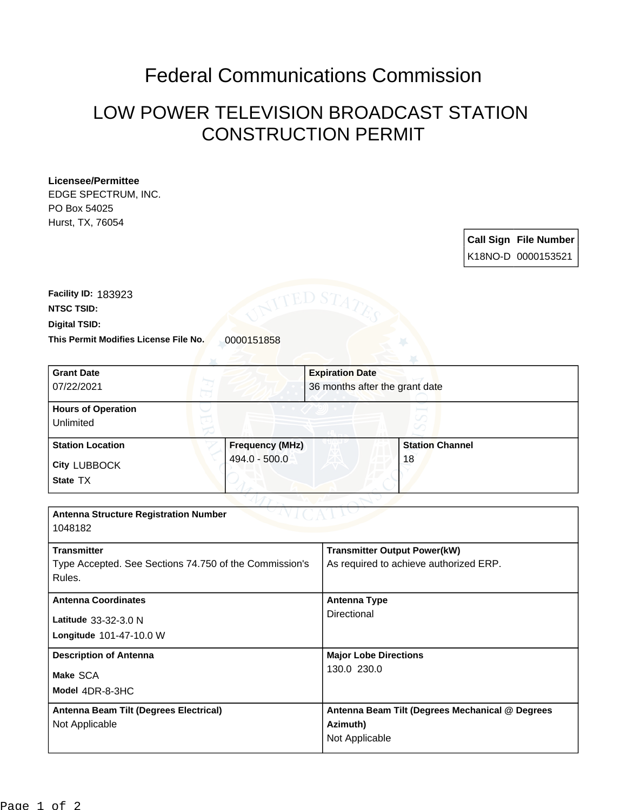## Federal Communications Commission

## LOW POWER TELEVISION BROADCAST STATION CONSTRUCTION PERMIT

## **Licensee/Permittee**

EDGE SPECTRUM, INC. PO Box 54025 Hurst, TX, 76054

> **Call Sign File Number** K18NO-D 0000153521

This Permit Modifies License File No. 0000151858 **Digital TSID: NTSC TSID: Facility ID:** 183923

|                                                        | <b>Expiration Date</b> |                                                    |  |
|--------------------------------------------------------|------------------------|----------------------------------------------------|--|
|                                                        |                        | 36 months after the grant date                     |  |
| <b>Hours of Operation</b>                              |                        |                                                    |  |
| Unlimited                                              |                        |                                                    |  |
| Frequency (MHz)                                        |                        | <b>Station Channel</b>                             |  |
|                                                        |                        | 18                                                 |  |
|                                                        |                        |                                                    |  |
|                                                        |                        |                                                    |  |
| <b>Antenna Structure Registration Number</b>           |                        |                                                    |  |
| 1048182                                                |                        |                                                    |  |
|                                                        |                        |                                                    |  |
| Type Accepted. See Sections 74.750 of the Commission's |                        | As required to achieve authorized ERP.             |  |
|                                                        |                        |                                                    |  |
| <b>Antenna Coordinates</b>                             |                        | <b>Antenna Type</b>                                |  |
| Latitude 33-32-3.0 N                                   |                        |                                                    |  |
|                                                        |                        |                                                    |  |
| <b>Description of Antenna</b>                          |                        | <b>Major Lobe Directions</b>                       |  |
| Make SCA                                               |                        | 130.0 230.0                                        |  |
|                                                        |                        |                                                    |  |
| Antenna Beam Tilt (Degrees Electrical)                 |                        | Antenna Beam Tilt (Degrees Mechanical @ Degrees    |  |
| Not Applicable                                         |                        | Azimuth)                                           |  |
|                                                        | Not Applicable         |                                                    |  |
|                                                        | 494.0 - 500.0          | <b>Transmitter Output Power(kW)</b><br>Directional |  |